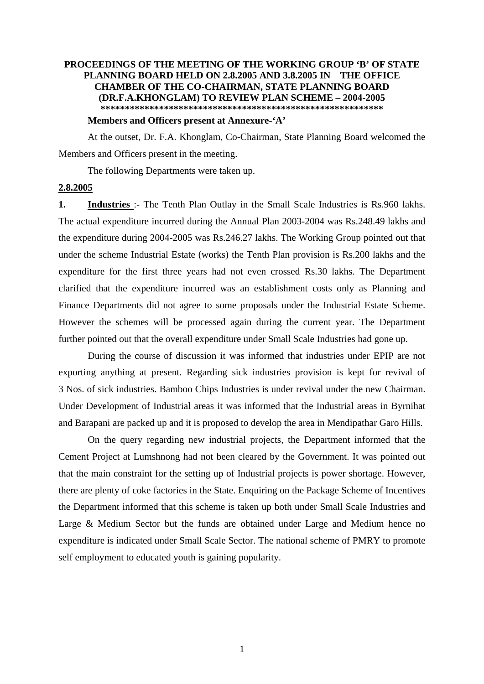## **PROCEEDINGS OF THE MEETING OF THE WORKING GROUP 'B' OF STATE PLANNING BOARD HELD ON 2.8.2005 AND 3.8.2005 IN THE OFFICE CHAMBER OF THE CO-CHAIRMAN, STATE PLANNING BOARD (DR.F.A.KHONGLAM) TO REVIEW PLAN SCHEME – 2004-2005 \*\*\*\*\*\*\*\*\*\*\*\*\*\*\*\*\*\*\*\*\*\*\*\*\*\*\*\*\*\*\*\*\*\*\*\*\*\*\*\*\*\*\*\*\*\*\*\*\*\*\*\*\*\*\*\*\*\***

## **Members and Officers present at Annexure-'A'**

 At the outset, Dr. F.A. Khonglam, Co-Chairman, State Planning Board welcomed the Members and Officers present in the meeting.

The following Departments were taken up.

## **2.8.2005**

**1. Industries** :- The Tenth Plan Outlay in the Small Scale Industries is Rs.960 lakhs. The actual expenditure incurred during the Annual Plan 2003-2004 was Rs.248.49 lakhs and the expenditure during 2004-2005 was Rs.246.27 lakhs. The Working Group pointed out that under the scheme Industrial Estate (works) the Tenth Plan provision is Rs.200 lakhs and the expenditure for the first three years had not even crossed Rs.30 lakhs. The Department clarified that the expenditure incurred was an establishment costs only as Planning and Finance Departments did not agree to some proposals under the Industrial Estate Scheme. However the schemes will be processed again during the current year. The Department further pointed out that the overall expenditure under Small Scale Industries had gone up.

 During the course of discussion it was informed that industries under EPIP are not exporting anything at present. Regarding sick industries provision is kept for revival of 3 Nos. of sick industries. Bamboo Chips Industries is under revival under the new Chairman. Under Development of Industrial areas it was informed that the Industrial areas in Byrnihat and Barapani are packed up and it is proposed to develop the area in Mendipathar Garo Hills.

On the query regarding new industrial projects, the Department informed that the Cement Project at Lumshnong had not been cleared by the Government. It was pointed out that the main constraint for the setting up of Industrial projects is power shortage. However, there are plenty of coke factories in the State. Enquiring on the Package Scheme of Incentives the Department informed that this scheme is taken up both under Small Scale Industries and Large & Medium Sector but the funds are obtained under Large and Medium hence no expenditure is indicated under Small Scale Sector. The national scheme of PMRY to promote self employment to educated youth is gaining popularity.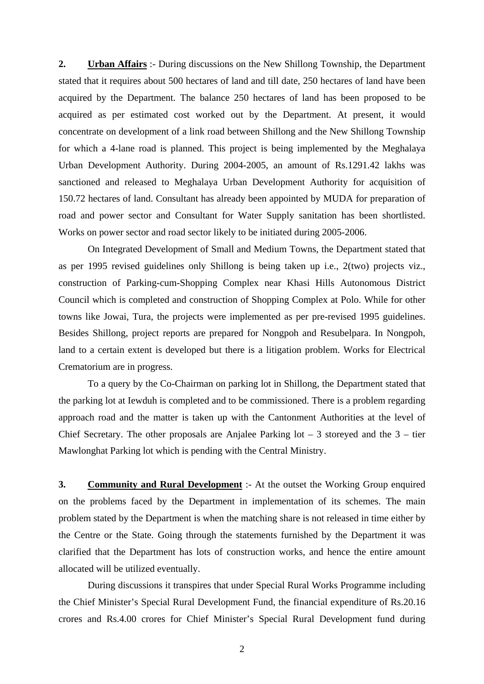**2. Urban Affairs** :- During discussions on the New Shillong Township, the Department stated that it requires about 500 hectares of land and till date, 250 hectares of land have been acquired by the Department. The balance 250 hectares of land has been proposed to be acquired as per estimated cost worked out by the Department. At present, it would concentrate on development of a link road between Shillong and the New Shillong Township for which a 4-lane road is planned. This project is being implemented by the Meghalaya Urban Development Authority. During 2004-2005, an amount of Rs.1291.42 lakhs was sanctioned and released to Meghalaya Urban Development Authority for acquisition of 150.72 hectares of land. Consultant has already been appointed by MUDA for preparation of road and power sector and Consultant for Water Supply sanitation has been shortlisted. Works on power sector and road sector likely to be initiated during 2005-2006.

 On Integrated Development of Small and Medium Towns, the Department stated that as per 1995 revised guidelines only Shillong is being taken up i.e., 2(two) projects viz., construction of Parking-cum-Shopping Complex near Khasi Hills Autonomous District Council which is completed and construction of Shopping Complex at Polo. While for other towns like Jowai, Tura, the projects were implemented as per pre-revised 1995 guidelines. Besides Shillong, project reports are prepared for Nongpoh and Resubelpara. In Nongpoh, land to a certain extent is developed but there is a litigation problem. Works for Electrical Crematorium are in progress.

 To a query by the Co-Chairman on parking lot in Shillong, the Department stated that the parking lot at Iewduh is completed and to be commissioned. There is a problem regarding approach road and the matter is taken up with the Cantonment Authorities at the level of Chief Secretary. The other proposals are Anjalee Parking  $\cot - 3$  storeyed and the  $3 - \text{tier}$ Mawlonghat Parking lot which is pending with the Central Ministry.

**3. Community and Rural Development** :- At the outset the Working Group enquired on the problems faced by the Department in implementation of its schemes. The main problem stated by the Department is when the matching share is not released in time either by the Centre or the State. Going through the statements furnished by the Department it was clarified that the Department has lots of construction works, and hence the entire amount allocated will be utilized eventually.

 During discussions it transpires that under Special Rural Works Programme including the Chief Minister's Special Rural Development Fund, the financial expenditure of Rs.20.16 crores and Rs.4.00 crores for Chief Minister's Special Rural Development fund during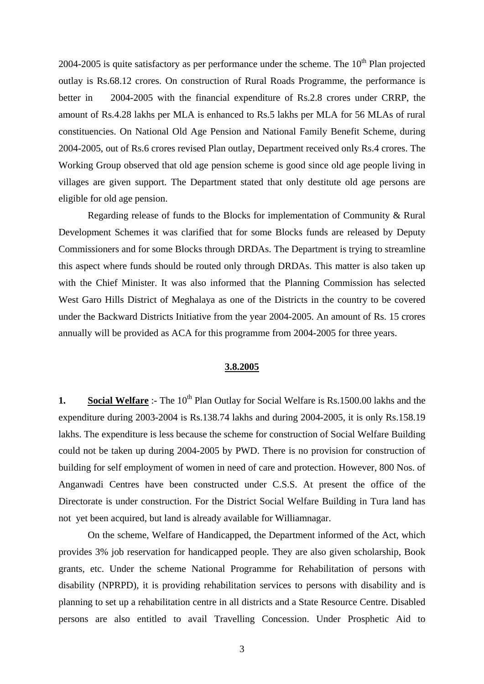2004-2005 is quite satisfactory as per performance under the scheme. The  $10<sup>th</sup>$  Plan projected outlay is Rs.68.12 crores. On construction of Rural Roads Programme, the performance is better in 2004-2005 with the financial expenditure of Rs.2.8 crores under CRRP, the amount of Rs.4.28 lakhs per MLA is enhanced to Rs.5 lakhs per MLA for 56 MLAs of rural constituencies. On National Old Age Pension and National Family Benefit Scheme, during 2004-2005, out of Rs.6 crores revised Plan outlay, Department received only Rs.4 crores. The Working Group observed that old age pension scheme is good since old age people living in villages are given support. The Department stated that only destitute old age persons are eligible for old age pension.

Regarding release of funds to the Blocks for implementation of Community & Rural Development Schemes it was clarified that for some Blocks funds are released by Deputy Commissioners and for some Blocks through DRDAs. The Department is trying to streamline this aspect where funds should be routed only through DRDAs. This matter is also taken up with the Chief Minister. It was also informed that the Planning Commission has selected West Garo Hills District of Meghalaya as one of the Districts in the country to be covered under the Backward Districts Initiative from the year 2004-2005. An amount of Rs. 15 crores annually will be provided as ACA for this programme from 2004-2005 for three years.

## **3.8.2005**

**1. Social Welfare** :- The 10<sup>th</sup> Plan Outlay for Social Welfare is Rs.1500.00 lakhs and the expenditure during 2003-2004 is Rs.138.74 lakhs and during 2004-2005, it is only Rs.158.19 lakhs. The expenditure is less because the scheme for construction of Social Welfare Building could not be taken up during 2004-2005 by PWD. There is no provision for construction of building for self employment of women in need of care and protection. However, 800 Nos. of Anganwadi Centres have been constructed under C.S.S. At present the office of the Directorate is under construction. For the District Social Welfare Building in Tura land has not yet been acquired, but land is already available for Williamnagar.

 On the scheme, Welfare of Handicapped, the Department informed of the Act, which provides 3% job reservation for handicapped people. They are also given scholarship, Book grants, etc. Under the scheme National Programme for Rehabilitation of persons with disability (NPRPD), it is providing rehabilitation services to persons with disability and is planning to set up a rehabilitation centre in all districts and a State Resource Centre. Disabled persons are also entitled to avail Travelling Concession. Under Prosphetic Aid to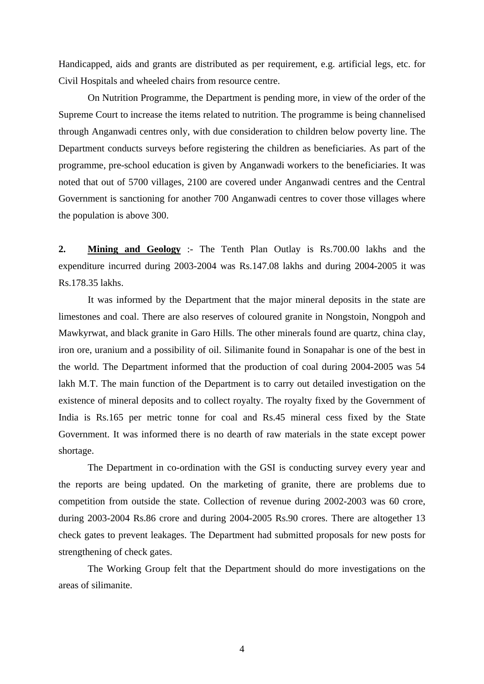Handicapped, aids and grants are distributed as per requirement, e.g. artificial legs, etc. for Civil Hospitals and wheeled chairs from resource centre.

 On Nutrition Programme, the Department is pending more, in view of the order of the Supreme Court to increase the items related to nutrition. The programme is being channelised through Anganwadi centres only, with due consideration to children below poverty line. The Department conducts surveys before registering the children as beneficiaries. As part of the programme, pre-school education is given by Anganwadi workers to the beneficiaries. It was noted that out of 5700 villages, 2100 are covered under Anganwadi centres and the Central Government is sanctioning for another 700 Anganwadi centres to cover those villages where the population is above 300.

**2. Mining and Geology** :- The Tenth Plan Outlay is Rs.700.00 lakhs and the expenditure incurred during 2003-2004 was Rs.147.08 lakhs and during 2004-2005 it was Rs.178.35 lakhs.

 It was informed by the Department that the major mineral deposits in the state are limestones and coal. There are also reserves of coloured granite in Nongstoin, Nongpoh and Mawkyrwat, and black granite in Garo Hills. The other minerals found are quartz, china clay, iron ore, uranium and a possibility of oil. Silimanite found in Sonapahar is one of the best in the world. The Department informed that the production of coal during 2004-2005 was 54 lakh M.T. The main function of the Department is to carry out detailed investigation on the existence of mineral deposits and to collect royalty. The royalty fixed by the Government of India is Rs.165 per metric tonne for coal and Rs.45 mineral cess fixed by the State Government. It was informed there is no dearth of raw materials in the state except power shortage.

 The Department in co-ordination with the GSI is conducting survey every year and the reports are being updated. On the marketing of granite, there are problems due to competition from outside the state. Collection of revenue during 2002-2003 was 60 crore, during 2003-2004 Rs.86 crore and during 2004-2005 Rs.90 crores. There are altogether 13 check gates to prevent leakages. The Department had submitted proposals for new posts for strengthening of check gates.

 The Working Group felt that the Department should do more investigations on the areas of silimanite.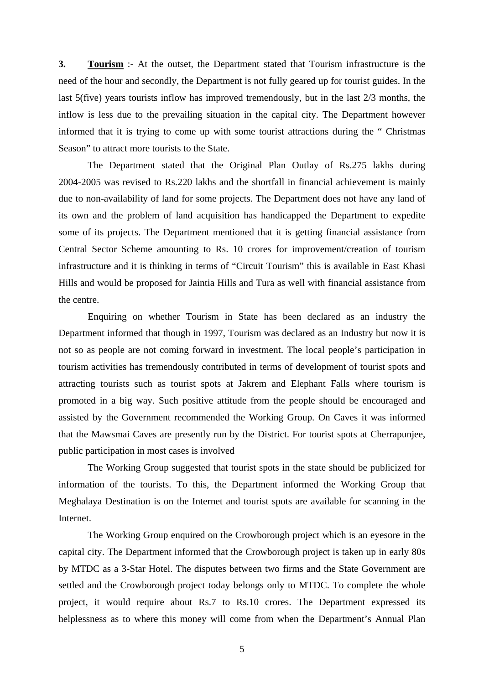**3. Tourism** :- At the outset, the Department stated that Tourism infrastructure is the need of the hour and secondly, the Department is not fully geared up for tourist guides. In the last 5(five) years tourists inflow has improved tremendously, but in the last 2/3 months, the inflow is less due to the prevailing situation in the capital city. The Department however informed that it is trying to come up with some tourist attractions during the " Christmas Season" to attract more tourists to the State.

 The Department stated that the Original Plan Outlay of Rs.275 lakhs during 2004-2005 was revised to Rs.220 lakhs and the shortfall in financial achievement is mainly due to non-availability of land for some projects. The Department does not have any land of its own and the problem of land acquisition has handicapped the Department to expedite some of its projects. The Department mentioned that it is getting financial assistance from Central Sector Scheme amounting to Rs. 10 crores for improvement/creation of tourism infrastructure and it is thinking in terms of "Circuit Tourism" this is available in East Khasi Hills and would be proposed for Jaintia Hills and Tura as well with financial assistance from the centre.

 Enquiring on whether Tourism in State has been declared as an industry the Department informed that though in 1997, Tourism was declared as an Industry but now it is not so as people are not coming forward in investment. The local people's participation in tourism activities has tremendously contributed in terms of development of tourist spots and attracting tourists such as tourist spots at Jakrem and Elephant Falls where tourism is promoted in a big way. Such positive attitude from the people should be encouraged and assisted by the Government recommended the Working Group. On Caves it was informed that the Mawsmai Caves are presently run by the District. For tourist spots at Cherrapunjee, public participation in most cases is involved

 The Working Group suggested that tourist spots in the state should be publicized for information of the tourists. To this, the Department informed the Working Group that Meghalaya Destination is on the Internet and tourist spots are available for scanning in the Internet.

 The Working Group enquired on the Crowborough project which is an eyesore in the capital city. The Department informed that the Crowborough project is taken up in early 80s by MTDC as a 3-Star Hotel. The disputes between two firms and the State Government are settled and the Crowborough project today belongs only to MTDC. To complete the whole project, it would require about Rs.7 to Rs.10 crores. The Department expressed its helplessness as to where this money will come from when the Department's Annual Plan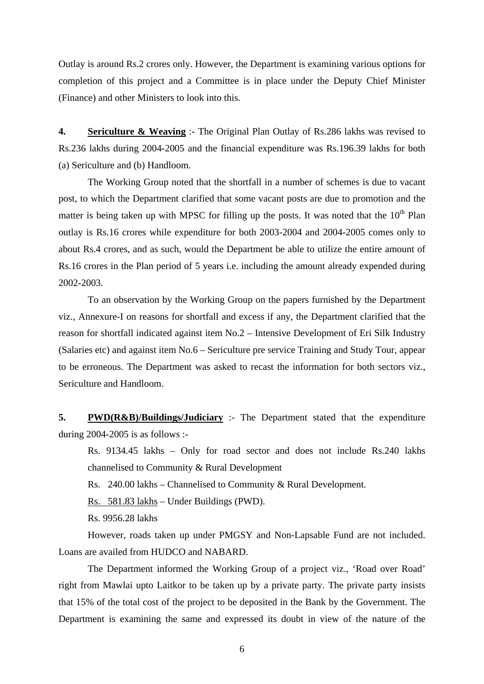Outlay is around Rs.2 crores only. However, the Department is examining various options for completion of this project and a Committee is in place under the Deputy Chief Minister (Finance) and other Ministers to look into this.

**4. Sericulture & Weaving** :- The Original Plan Outlay of Rs.286 lakhs was revised to Rs.236 lakhs during 2004-2005 and the financial expenditure was Rs.196.39 lakhs for both (a) Sericulture and (b) Handloom.

 The Working Group noted that the shortfall in a number of schemes is due to vacant post, to which the Department clarified that some vacant posts are due to promotion and the matter is being taken up with MPSC for filling up the posts. It was noted that the  $10<sup>th</sup>$  Plan outlay is Rs.16 crores while expenditure for both 2003-2004 and 2004-2005 comes only to about Rs.4 crores, and as such, would the Department be able to utilize the entire amount of Rs.16 crores in the Plan period of 5 years i.e. including the amount already expended during 2002-2003.

 To an observation by the Working Group on the papers furnished by the Department viz., Annexure-I on reasons for shortfall and excess if any, the Department clarified that the reason for shortfall indicated against item No.2 – Intensive Development of Eri Silk Industry (Salaries etc) and against item No.6 – Sericulture pre service Training and Study Tour, appear to be erroneous. The Department was asked to recast the information for both sectors viz., Sericulture and Handloom.

**5. PWD(R&B)/Buildings/Judiciary** :- The Department stated that the expenditure during 2004-2005 is as follows :-

Rs. 9134.45 lakhs – Only for road sector and does not include Rs.240 lakhs channelised to Community & Rural Development

Rs. 240.00 lakhs – Channelised to Community & Rural Development.

Rs. 581.83 lakhs – Under Buildings (PWD).

Rs. 9956.28 lakhs

 However, roads taken up under PMGSY and Non-Lapsable Fund are not included. Loans are availed from HUDCO and NABARD.

 The Department informed the Working Group of a project viz., 'Road over Road' right from Mawlai upto Laitkor to be taken up by a private party. The private party insists that 15% of the total cost of the project to be deposited in the Bank by the Government. The Department is examining the same and expressed its doubt in view of the nature of the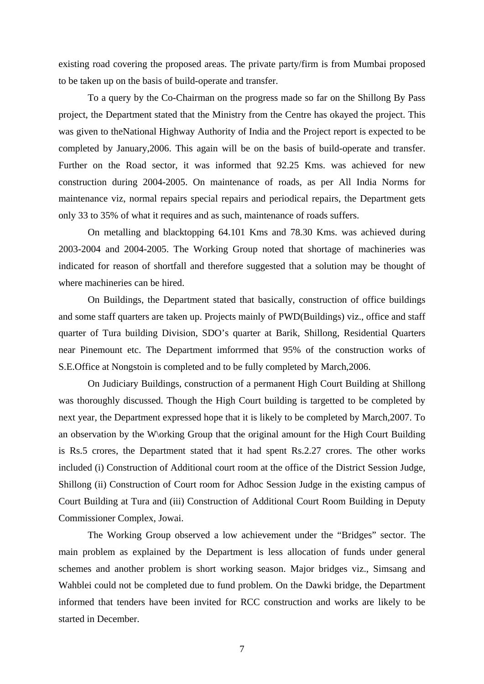existing road covering the proposed areas. The private party/firm is from Mumbai proposed to be taken up on the basis of build-operate and transfer.

 To a query by the Co-Chairman on the progress made so far on the Shillong By Pass project, the Department stated that the Ministry from the Centre has okayed the project. This was given to theNational Highway Authority of India and the Project report is expected to be completed by January,2006. This again will be on the basis of build-operate and transfer. Further on the Road sector, it was informed that 92.25 Kms. was achieved for new construction during 2004-2005. On maintenance of roads, as per All India Norms for maintenance viz, normal repairs special repairs and periodical repairs, the Department gets only 33 to 35% of what it requires and as such, maintenance of roads suffers.

 On metalling and blacktopping 64.101 Kms and 78.30 Kms. was achieved during 2003-2004 and 2004-2005. The Working Group noted that shortage of machineries was indicated for reason of shortfall and therefore suggested that a solution may be thought of where machineries can be hired.

 On Buildings, the Department stated that basically, construction of office buildings and some staff quarters are taken up. Projects mainly of PWD(Buildings) viz., office and staff quarter of Tura building Division, SDO's quarter at Barik, Shillong, Residential Quarters near Pinemount etc. The Department imforrmed that 95% of the construction works of S.E.Office at Nongstoin is completed and to be fully completed by March,2006.

 On Judiciary Buildings, construction of a permanent High Court Building at Shillong was thoroughly discussed. Though the High Court building is targetted to be completed by next year, the Department expressed hope that it is likely to be completed by March,2007. To an observation by the W\orking Group that the original amount for the High Court Building is Rs.5 crores, the Department stated that it had spent Rs.2.27 crores. The other works included (i) Construction of Additional court room at the office of the District Session Judge, Shillong (ii) Construction of Court room for Adhoc Session Judge in the existing campus of Court Building at Tura and (iii) Construction of Additional Court Room Building in Deputy Commissioner Complex, Jowai.

 The Working Group observed a low achievement under the "Bridges" sector. The main problem as explained by the Department is less allocation of funds under general schemes and another problem is short working season. Major bridges viz., Simsang and Wahblei could not be completed due to fund problem. On the Dawki bridge, the Department informed that tenders have been invited for RCC construction and works are likely to be started in December.